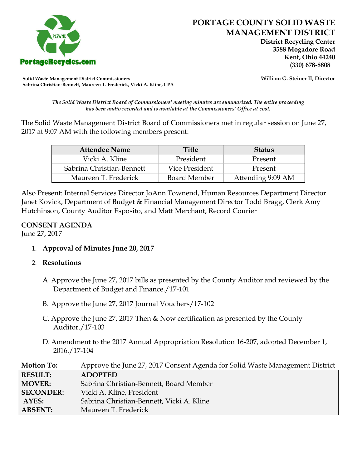

 **District Recycling Center 3588 Mogadore Road Kent, Ohio 44240**

**Solid Waste Management District Commissioners William G. Steiner II, Director Sabrina Christian-Bennett, Maureen T. Frederick, Vicki A. Kline, CPA**

*The Solid Waste District Board of Commissioners' meeting minutes are summarized. The entire proceeding has been audio recorded and is available at the Commissioners' Office at cost.*

The Solid Waste Management District Board of Commissioners met in regular session on June 27, 2017 at 9:07 AM with the following members present:

| <b>Attendee Name</b>      | <b>Title</b>        | <b>Status</b>     |  |
|---------------------------|---------------------|-------------------|--|
| Vicki A. Kline            | President           | Present           |  |
| Sabrina Christian-Bennett | Vice President      | Present           |  |
| Maureen T. Frederick      | <b>Board Member</b> | Attending 9:09 AM |  |

Also Present: Internal Services Director JoAnn Townend, Human Resources Department Director Janet Kovick, Department of Budget & Financial Management Director Todd Bragg, Clerk Amy Hutchinson, County Auditor Esposito, and Matt Merchant, Record Courier

## **CONSENT AGENDA**

June 27, 2017

1. **Approval of Minutes June 20, 2017**

## 2. **Resolutions**

- A. Approve the June 27, 2017 bills as presented by the County Auditor and reviewed by the Department of Budget and Finance./17-101
- B. Approve the June 27, 2017 Journal Vouchers/17-102
- C. Approve the June 27, 2017 Then & Now certification as presented by the County Auditor./17-103
- D. Amendment to the 2017 Annual Appropriation Resolution 16-207, adopted December 1, 2016./17-104

| <b>Motion To:</b> | Approve the June 27, 2017 Consent Agenda for Solid Waste Management District |
|-------------------|------------------------------------------------------------------------------|
| <b>RESULT:</b>    | <b>ADOPTED</b>                                                               |
| <b>MOVER:</b>     | Sabrina Christian-Bennett, Board Member                                      |
| <b>SECONDER:</b>  | Vicki A. Kline, President                                                    |
| AYES:             | Sabrina Christian-Bennett, Vicki A. Kline                                    |
| <b>ABSENT:</b>    | Maureen T. Frederick                                                         |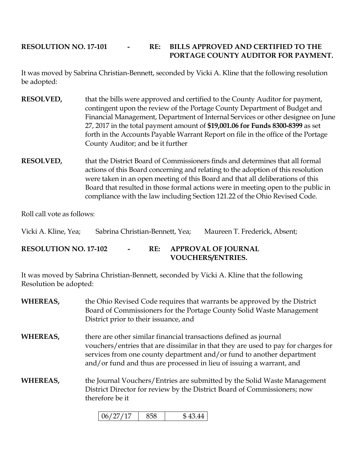## **RESOLUTION NO. 17-101 - RE: BILLS APPROVED AND CERTIFIED TO THE PORTAGE COUNTY AUDITOR FOR PAYMENT.**

It was moved by Sabrina Christian-Bennett, seconded by Vicki A. Kline that the following resolution be adopted:

- **RESOLVED,** that the bills were approved and certified to the County Auditor for payment, contingent upon the review of the Portage County Department of Budget and Financial Management, Department of Internal Services or other designee on June 27, 2017 in the total payment amount of **\$19,001.06 for Funds 8300-8399** as set forth in the Accounts Payable Warrant Report on file in the office of the Portage County Auditor; and be it further
- **RESOLVED,** that the District Board of Commissioners finds and determines that all formal actions of this Board concerning and relating to the adoption of this resolution were taken in an open meeting of this Board and that all deliberations of this Board that resulted in those formal actions were in meeting open to the public in compliance with the law including Section 121.22 of the Ohio Revised Code.

Roll call vote as follows:

| Vicki A. Kline, Yea;         | Sabrina Christian-Bennett, Yea; |        |     | Maureen T. Frederick, Absent;                          |
|------------------------------|---------------------------------|--------|-----|--------------------------------------------------------|
| <b>RESOLUTION NO. 17-102</b> |                                 | $\sim$ | RE: | <b>APPROVAL OF JOURNAL</b><br><b>VOUCHERS/ENTRIES.</b> |

It was moved by Sabrina Christian-Bennett, seconded by Vicki A. Kline that the following Resolution be adopted:

- **WHEREAS,** the Ohio Revised Code requires that warrants be approved by the District Board of Commissioners for the Portage County Solid Waste Management District prior to their issuance, and
- **WHEREAS,** there are other similar financial transactions defined as journal vouchers/entries that are dissimilar in that they are used to pay for charges for services from one county department and/or fund to another department and/or fund and thus are processed in lieu of issuing a warrant, and
- **WHEREAS,** the Journal Vouchers/Entries are submitted by the Solid Waste Management District Director for review by the District Board of Commissioners; now therefore be it

| $\mathbf{I}$<br>(16)<br>,<br>, , |  | $\Lambda$<br>$\mathbf{A}$ |
|----------------------------------|--|---------------------------|
|----------------------------------|--|---------------------------|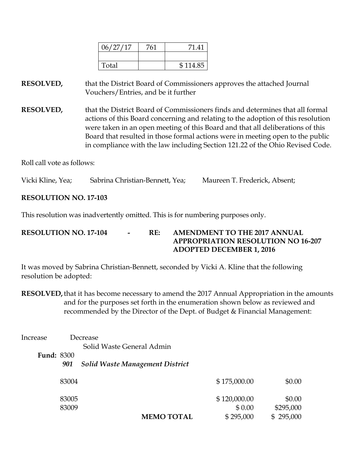| 06/27/17 | 761 | 71.41    |
|----------|-----|----------|
|          |     |          |
| Total    |     | \$114.85 |

**RESOLVED,** that the District Board of Commissioners approves the attached Journal Vouchers/Entries, and be it further

**RESOLVED,** that the District Board of Commissioners finds and determines that all formal actions of this Board concerning and relating to the adoption of this resolution were taken in an open meeting of this Board and that all deliberations of this Board that resulted in those formal actions were in meeting open to the public in compliance with the law including Section 121.22 of the Ohio Revised Code.

Roll call vote as follows:

Vicki Kline, Yea; Sabrina Christian-Bennett, Yea; Maureen T. Frederick, Absent;

#### **RESOLUTION NO. 17-103**

This resolution was inadvertently omitted. This is for numbering purposes only.

## **RESOLUTION NO. 17-104 - RE: AMENDMENT TO THE 2017 ANNUAL APPROPRIATION RESOLUTION NO 16-207 ADOPTED DECEMBER 1, 2016**

It was moved by Sabrina Christian-Bennett, seconded by Vicki A. Kline that the following resolution be adopted:

**RESOLVED,**that it has become necessary to amend the 2017 Annual Appropriation in the amounts and for the purposes set forth in the enumeration shown below as reviewed and recommended by the Director of the Dept. of Budget & Financial Management:

| Increase          |                | Decrease                               |                        |                     |
|-------------------|----------------|----------------------------------------|------------------------|---------------------|
|                   |                | Solid Waste General Admin              |                        |                     |
| <b>Fund: 8300</b> |                |                                        |                        |                     |
|                   | 901            | <b>Solid Waste Management District</b> |                        |                     |
|                   | 83004          |                                        | \$175,000.00           | \$0.00              |
|                   | 83005<br>83009 |                                        | \$120,000.00<br>\$0.00 | \$0.00<br>\$295,000 |
|                   |                | <b>MEMO TOTAL</b>                      | \$295,000              | \$295,000           |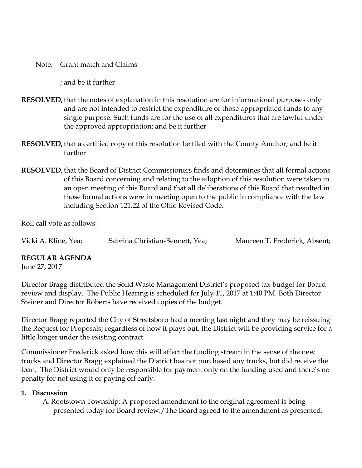Note: Grant match and Claims

; and be it further

- **RESOLVED,**that the notes of explanation in this resolution are for informational purposes only and are not intended to restrict the expenditure of those appropriated funds to any single purpose. Such funds are for the use of all expenditures that are lawful under the approved appropriation; and be it further
- **RESOLVED,**that a certified copy of this resolution be filed with the County Auditor; and be it further
- **RESOLVED,**that the Board of District Commissioners finds and determines that all formal actions of this Board concerning and relating to the adoption of this resolution were taken in an open meeting of this Board and that all deliberations of this Board that resulted in those formal actions were in meeting open to the public in compliance with the law including Section 121.22 of the Ohio Revised Code.

Roll call vote as follows:

Vicki A. Kline, Yea; Sabrina Christian-Bennett, Yea; Maureen T. Frederick, Absent;

#### **REGULAR AGENDA**

June 27, 2017

Director Bragg distributed the Solid Waste Management District's proposed tax budget for Board review and display. The Public Hearing is scheduled for July 11, 2017 at 1:40 PM. Both Director Steiner and Director Roberts have received copies of the budget.

Director Bragg reported the City of Streetsboro had a meeting last night and they may be reissuing the Request for Proposals; regardless of how it plays out, the District will be providing service for a little longer under the existing contract.

Commissioner Frederick asked how this will affect the funding stream in the sense of the new trucks and Director Bragg explained the District has not purchased any trucks, but did receive the loan. The District would only be responsible for payment only on the funding used and there's no penalty for not using it or paying off early.

#### **1. Discussion**

A. Rootstown Township: A proposed amendment to the original agreement is being presented today for Board review./The Board agreed to the amendment as presented.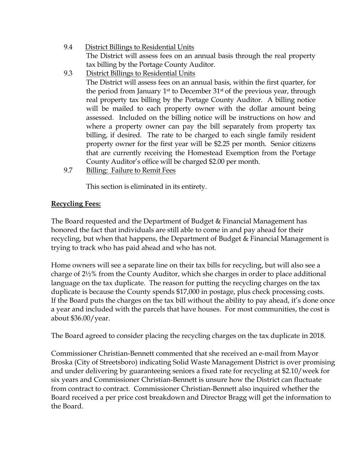- 9.4 District Billings to Residential Units The District will assess fees on an annual basis through the real property tax billing by the Portage County Auditor.
- 9.3 District Billings to Residential Units

The District will assess fees on an annual basis, within the first quarter, for the period from January  $1<sup>st</sup>$  to December  $31<sup>st</sup>$  of the previous year, through real property tax billing by the Portage County Auditor. A billing notice will be mailed to each property owner with the dollar amount being assessed. Included on the billing notice will be instructions on how and where a property owner can pay the bill separately from property tax billing, if desired. The rate to be charged to each single family resident property owner for the first year will be \$2.25 per month. Senior citizens that are currently receiving the Homestead Exemption from the Portage County Auditor's office will be charged \$2.00 per month.

9.7 Billing: Failure to Remit Fees

This section is eliminated in its entirety.

# **Recycling Fees:**

The Board requested and the Department of Budget & Financial Management has honored the fact that individuals are still able to come in and pay ahead for their recycling, but when that happens, the Department of Budget & Financial Management is trying to track who has paid ahead and who has not.

Home owners will see a separate line on their tax bills for recycling, but will also see a charge of 2½% from the County Auditor, which she charges in order to place additional language on the tax duplicate. The reason for putting the recycling charges on the tax duplicate is because the County spends \$17,000 in postage, plus check processing costs. If the Board puts the charges on the tax bill without the ability to pay ahead, it's done once a year and included with the parcels that have houses. For most communities, the cost is about \$36.00/year.

The Board agreed to consider placing the recycling charges on the tax duplicate in 2018.

Commissioner Christian-Bennett commented that she received an e-mail from Mayor Broska (City of Streetsboro) indicating Solid Waste Management District is over promising and under delivering by guaranteeing seniors a fixed rate for recycling at \$2.10/week for six years and Commissioner Christian-Bennett is unsure how the District can fluctuate from contract to contract. Commissioner Christian-Bennett also inquired whether the Board received a per price cost breakdown and Director Bragg will get the information to the Board.